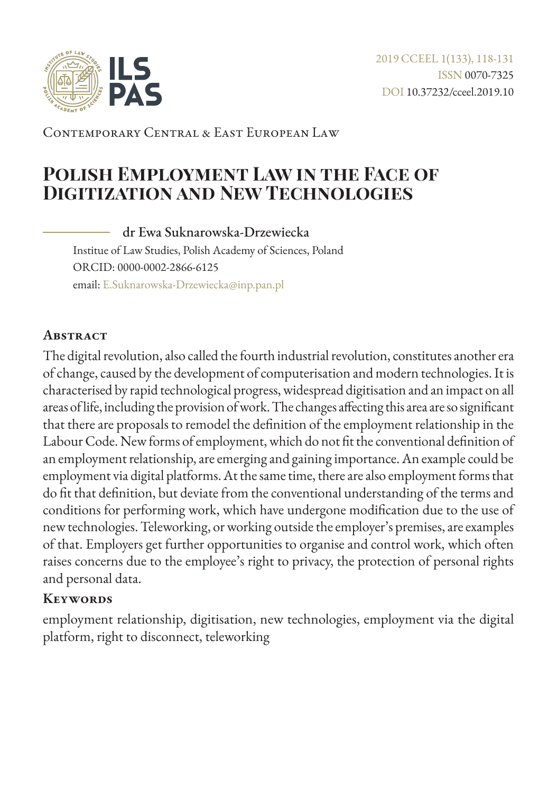

Contemporary Central & East European Law

# **Polish Employment Law in the Face of Digitization and New Technologies**

dr Ewa Suknarowska-Drzewiecka Institue of Law Studies, Polish Academy of Sciences, Poland ORCID: 0000-0002-2866-6125 email: [E.Suknarowska-Drzewiecka@inp.pan.pl](mailto:E.Suknarowska-Drzewiecka%40inp.pan.pl?subject=)

#### **Abstract**

The digital revolution, also called the fourth industrial revolution, constitutes another era of change, caused by the development of computerisation and modern technologies. It is characterised by rapid technological progress, widespread digitisation and an impact on all areas of life, including the provision of work. The changes affecting this area are so significant that there are proposals to remodel the definition of the employment relationship in the Labour Code. New forms of employment, which do not fit the conventional definition of an employment relationship, are emerging and gaining importance. An example could be employment via digital platforms. At the same time, there are also employment forms that do fit that definition, but deviate from the conventional understanding of the terms and conditions for performing work, which have undergone modification due to the use of new technologies. Teleworking, or working outside the employer's premises, are examples of that. Employers get further opportunities to organise and control work, which often raises concerns due to the employee's right to privacy, the protection of personal rights and personal data.

#### **Keywords**

employment relationship, digitisation, new technologies, employment via the digital platform, right to disconnect, teleworking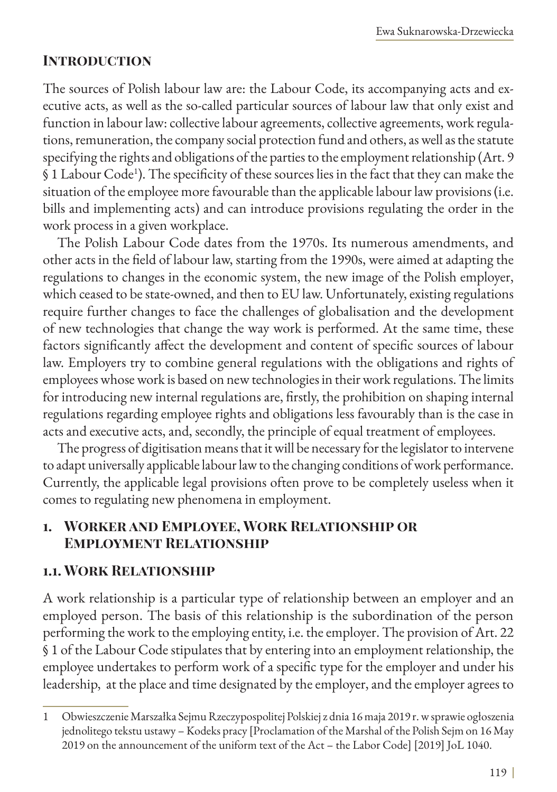#### **Introduction**

The sources of Polish labour law are: the Labour Code, its accompanying acts and executive acts, as well as the so-called particular sources of labour law that only exist and function in labour law: collective labour agreements, collective agreements, work regulations, remuneration, the company social protection fund and others, as well as the statute specifying the rights and obligations of the parties to the employment relationship (Art. 9 § 1 Labour Code<sup>1</sup> ). The specificity of these sources lies in the fact that they can make the situation of the employee more favourable than the applicable labour law provisions (i.e. bills and implementing acts) and can introduce provisions regulating the order in the work process in a given workplace.

The Polish Labour Code dates from the 1970s. Its numerous amendments, and other acts in the field of labour law, starting from the 1990s, were aimed at adapting the regulations to changes in the economic system, the new image of the Polish employer, which ceased to be state-owned, and then to EU law. Unfortunately, existing regulations require further changes to face the challenges of globalisation and the development of new technologies that change the way work is performed. At the same time, these factors significantly affect the development and content of specific sources of labour law. Employers try to combine general regulations with the obligations and rights of employees whose work is based on new technologies in their work regulations. The limits for introducing new internal regulations are, firstly, the prohibition on shaping internal regulations regarding employee rights and obligations less favourably than is the case in acts and executive acts, and, secondly, the principle of equal treatment of employees.

The progress of digitisation means that it will be necessary for the legislator to intervene to adapt universally applicable labour law to the changing conditions of work performance. Currently, the applicable legal provisions often prove to be completely useless when it comes to regulating new phenomena in employment.

### **1. Worker and Employee, Work Relationship or Employment Relationship**

#### **1.1. Work Relationship**

A work relationship is a particular type of relationship between an employer and an employed person. The basis of this relationship is the subordination of the person performing the work to the employing entity, i.e. the employer. The provision of Art. 22 § 1 of the Labour Code stipulates that by entering into an employment relationship, the employee undertakes to perform work of a specific type for the employer and under his leadership, at the place and time designated by the employer, and the employer agrees to

<sup>1</sup> Obwieszczenie Marszałka Sejmu Rzeczypospolitej Polskiej z dnia 16 maja 2019 r. w sprawie ogłoszenia jednolitego tekstu ustawy – Kodeks pracy [Proclamation of the Marshal of the Polish Sejm on 16 May 2019 on the announcement of the uniform text of the Act – the Labor Code] [2019] JoL 1040.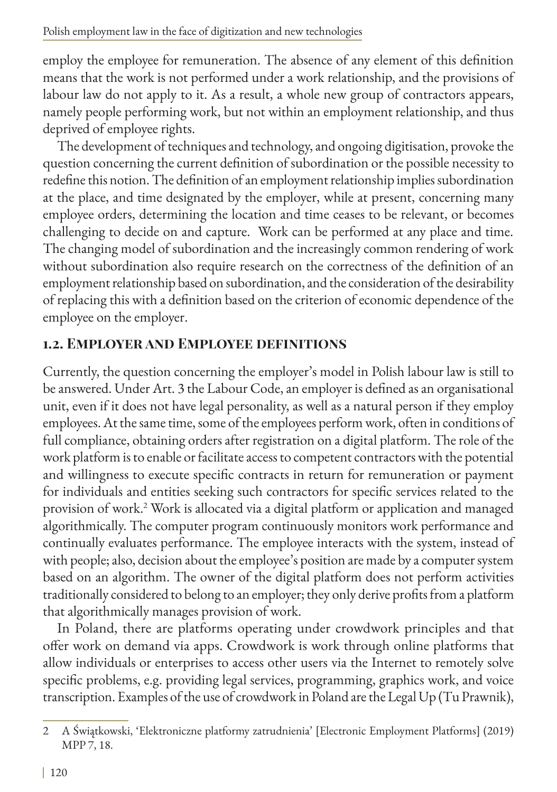employ the employee for remuneration. The absence of any element of this definition means that the work is not performed under a work relationship, and the provisions of labour law do not apply to it. As a result, a whole new group of contractors appears, namely people performing work, but not within an employment relationship, and thus deprived of employee rights.

The development of techniques and technology, and ongoing digitisation, provoke the question concerning the current definition of subordination or the possible necessity to redefine this notion. The definition of an employment relationship implies subordination at the place, and time designated by the employer, while at present, concerning many employee orders, determining the location and time ceases to be relevant, or becomes challenging to decide on and capture. Work can be performed at any place and time. The changing model of subordination and the increasingly common rendering of work without subordination also require research on the correctness of the definition of an employment relationship based on subordination, and the consideration of the desirability of replacing this with a definition based on the criterion of economic dependence of the employee on the employer.

## **1.2. Employer and Employee definitions**

Currently, the question concerning the employer's model in Polish labour law is still to be answered. Under Art. 3 the Labour Code, an employer is defined as an organisational unit, even if it does not have legal personality, as well as a natural person if they employ employees. At the same time, some of the employees perform work, often in conditions of full compliance, obtaining orders after registration on a digital platform. The role of the work platform is to enable or facilitate access to competent contractors with the potential and willingness to execute specific contracts in return for remuneration or payment for individuals and entities seeking such contractors for specific services related to the provision of work.2 Work is allocated via a digital platform or application and managed algorithmically. The computer program continuously monitors work performance and continually evaluates performance. The employee interacts with the system, instead of with people; also, decision about the employee's position are made by a computer system based on an algorithm. The owner of the digital platform does not perform activities traditionally considered to belong to an employer; they only derive profits from a platform that algorithmically manages provision of work.

In Poland, there are platforms operating under crowdwork principles and that offer work on demand via apps. Crowdwork is work through online platforms that allow individuals or enterprises to access other users via the Internet to remotely solve specific problems, e.g. providing legal services, programming, graphics work, and voice transcription. Examples of the use of crowdwork in Poland are the Legal Up (Tu Prawnik),

<sup>2</sup> A Świątkowski, 'Elektroniczne platformy zatrudnienia' [Electronic Employment Platforms] (2019) MPP 7, 18.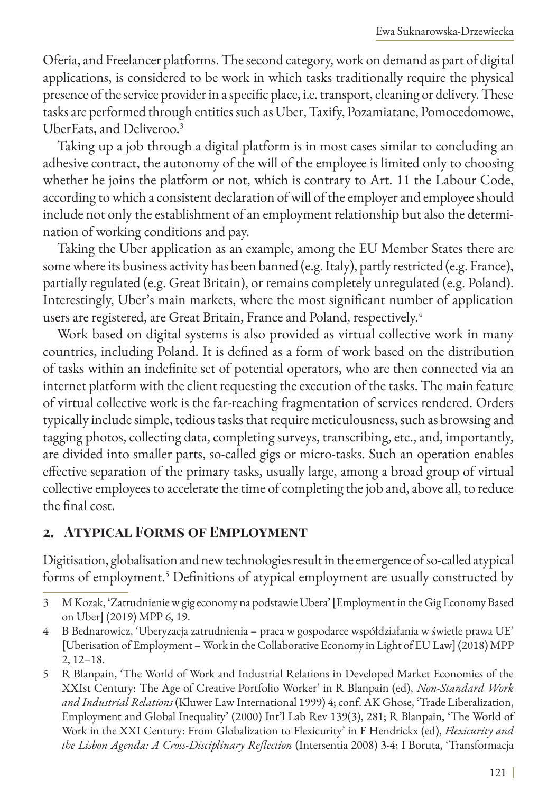Oferia, and Freelancer platforms. The second category, work on demand as part of digital applications, is considered to be work in which tasks traditionally require the physical presence of the service provider in a specific place, i.e. transport, cleaning or delivery. These tasks are performed through entities such as Uber, Taxify, Pozamiatane, Pomocedomowe, UberEats, and Deliveroo.<sup>3</sup>

Taking up a job through a digital platform is in most cases similar to concluding an adhesive contract, the autonomy of the will of the employee is limited only to choosing whether he joins the platform or not, which is contrary to Art. 11 the Labour Code, according to which a consistent declaration of will of the employer and employee should include not only the establishment of an employment relationship but also the determination of working conditions and pay.

Taking the Uber application as an example, among the EU Member States there are some where its business activity has been banned (e.g. Italy), partly restricted (e.g. France), partially regulated (e.g. Great Britain), or remains completely unregulated (e.g. Poland). Interestingly, Uber's main markets, where the most significant number of application users are registered, are Great Britain, France and Poland, respectively.<sup>4</sup>

Work based on digital systems is also provided as virtual collective work in many countries, including Poland. It is defined as a form of work based on the distribution of tasks within an indefinite set of potential operators, who are then connected via an internet platform with the client requesting the execution of the tasks. The main feature of virtual collective work is the far-reaching fragmentation of services rendered. Orders typically include simple, tedious tasks that require meticulousness, such as browsing and tagging photos, collecting data, completing surveys, transcribing, etc., and, importantly, are divided into smaller parts, so-called gigs or micro-tasks. Such an operation enables effective separation of the primary tasks, usually large, among a broad group of virtual collective employees to accelerate the time of completing the job and, above all, to reduce the final cost.

#### **2. Atypical Forms of Employment**

Digitisation, globalisation and new technologies result in the emergence of so-called atypical forms of employment.<sup>5</sup> Definitions of atypical employment are usually constructed by

<sup>3</sup> M Kozak, 'Zatrudnienie w gig economy na podstawie Ubera' [Employment in the Gig Economy Based on Uber] (2019) MPP 6, 19.

<sup>4</sup> B Bednarowicz, 'Uberyzacja zatrudnienia – praca w gospodarce współdziałania w świetle prawa UE' [Uberisation of Employment – Work in the Collaborative Economy in Light of EU Law] (2018) MPP 2, 12–18.

<sup>5</sup> R Blanpain, 'The World of Work and Industrial Relations in Developed Market Economies of the XXIst Century: The Age of Creative Portfolio Worker' in R Blanpain (ed), *Non-Standard Work and Industrial Relations* (Kluwer Law International 1999) 4; conf. AK Ghose, 'Trade Liberalization, Employment and Global Inequality' (2000) Int'l Lab Rev 139(3), 281; R Blanpain, 'The World of Work in the XXI Century: From Globalization to Flexicurity' in F Hendrickx (ed), *Flexicurity and the Lisbon Agenda: A Cross-Disciplinary Reflection* (Intersentia 2008) 3-4; I Boruta, 'Transformacja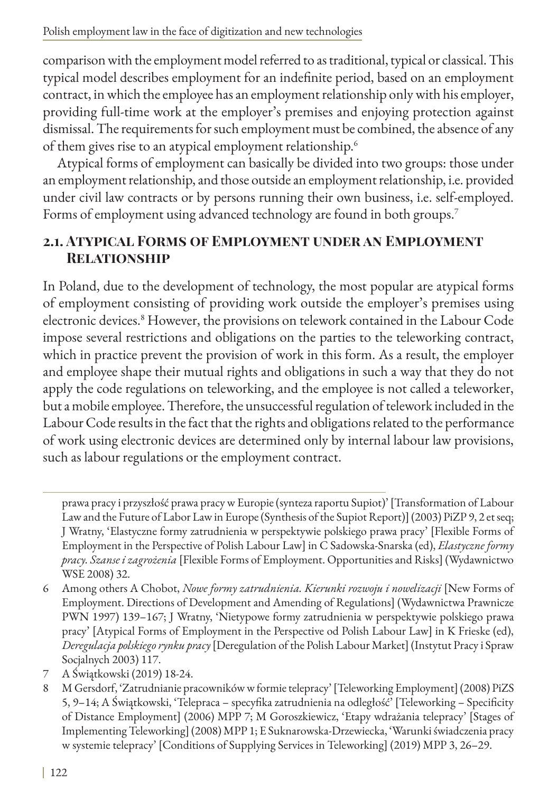comparison with the employment model referred to as traditional, typical or classical. This typical model describes employment for an indefinite period, based on an employment contract, in which the employee has an employment relationship only with his employer, providing full-time work at the employer's premises and enjoying protection against dismissal. The requirements for such employment must be combined, the absence of any of them gives rise to an atypical employment relationship.<sup>6</sup>

Atypical forms of employment can basically be divided into two groups: those under an employment relationship, and those outside an employment relationship, i.e. provided under civil law contracts or by persons running their own business, i.e. self-employed. Forms of employment using advanced technology are found in both groups.7

## **2.1. Atypical Forms of Employment under an Employment Relationship**

In Poland, due to the development of technology, the most popular are atypical forms of employment consisting of providing work outside the employer's premises using electronic devices.8 However, the provisions on telework contained in the Labour Code impose several restrictions and obligations on the parties to the teleworking contract, which in practice prevent the provision of work in this form. As a result, the employer and employee shape their mutual rights and obligations in such a way that they do not apply the code regulations on teleworking, and the employee is not called a teleworker, but a mobile employee. Therefore, the unsuccessful regulation of telework included in the Labour Code results in the fact that the rights and obligations related to the performance of work using electronic devices are determined only by internal labour law provisions, such as labour regulations or the employment contract.

prawa pracy i przyszłość prawa pracy w Europie (synteza raportu Supiot)' [Transformation of Labour Law and the Future of Labor Law in Europe (Synthesis of the Supiot Report)] (2003) PiZP 9, 2 et seq; J Wratny, 'Elastyczne formy zatrudnienia w perspektywie polskiego prawa pracy' [Flexible Forms of Employment in the Perspective of Polish Labour Law] in C Sadowska-Snarska (ed), *Elastyczne formy pracy. Szanse i zagrożenia* [Flexible Forms of Employment. Opportunities and Risks] (Wydawnictwo WSE 2008) 32.

<sup>6</sup> Among others A Chobot, *Nowe formy zatrudnienia. Kierunki rozwoju i nowelizacji* [New Forms of Employment. Directions of Development and Amending of Regulations] (Wydawnictwa Prawnicze PWN 1997) 139–167; J Wratny, 'Nietypowe formy zatrudnienia w perspektywie polskiego prawa pracy' [Atypical Forms of Employment in the Perspective od Polish Labour Law] in K Frieske (ed), *Deregulacja polskiego rynku pracy* [Deregulation of the Polish Labour Market] (Instytut Pracy i Spraw Socjalnych 2003) 117.

<sup>7</sup> A Świątkowski (2019) 18-24.

<sup>8</sup> M Gersdorf, 'Zatrudnianie pracowników w formie telepracy' [Teleworking Employment] (2008) PiZS 5, 9–14; A Świątkowski, 'Telepraca – specyfika zatrudnienia na odległość' [Teleworking – Specificity of Distance Employment] (2006) MPP 7; M Goroszkiewicz, 'Etapy wdrażania telepracy' [Stages of Implementing Teleworking] (2008) MPP 1; E Suknarowska-Drzewiecka, 'Warunki świadczenia pracy w systemie telepracy' [Conditions of Supplying Services in Teleworking] (2019) MPP 3, 26–29.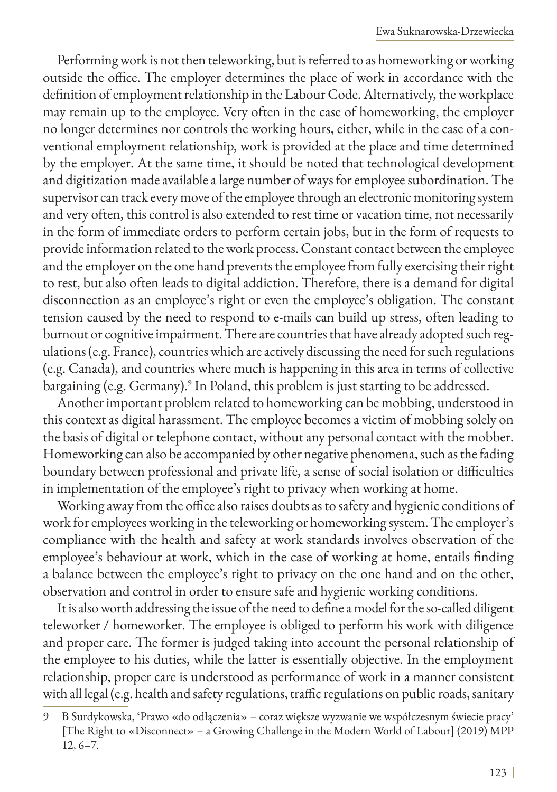Performing work is not then teleworking, but is referred to as homeworking or working outside the office. The employer determines the place of work in accordance with the definition of employment relationship in the Labour Code. Alternatively, the workplace may remain up to the employee. Very often in the case of homeworking, the employer no longer determines nor controls the working hours, either, while in the case of a conventional employment relationship, work is provided at the place and time determined by the employer. At the same time, it should be noted that technological development and digitization made available a large number of ways for employee subordination. The supervisor can track every move of the employee through an electronic monitoring system and very often, this control is also extended to rest time or vacation time, not necessarily in the form of immediate orders to perform certain jobs, but in the form of requests to provide information related to the work process. Constant contact between the employee and the employer on the one hand prevents the employee from fully exercising their right to rest, but also often leads to digital addiction. Therefore, there is a demand for digital disconnection as an employee's right or even the employee's obligation. The constant tension caused by the need to respond to e-mails can build up stress, often leading to burnout or cognitive impairment. There are countries that have already adopted such regulations (e.g. France), countries which are actively discussing the need for such regulations (e.g. Canada), and countries where much is happening in this area in terms of collective bargaining (e.g. Germany).<sup>9</sup> In Poland, this problem is just starting to be addressed.

Another important problem related to homeworking can be mobbing, understood in this context as digital harassment. The employee becomes a victim of mobbing solely on the basis of digital or telephone contact, without any personal contact with the mobber. Homeworking can also be accompanied by other negative phenomena, such as the fading boundary between professional and private life, a sense of social isolation or difficulties in implementation of the employee's right to privacy when working at home.

Working away from the office also raises doubts as to safety and hygienic conditions of work for employees working in the teleworking or homeworking system. The employer's compliance with the health and safety at work standards involves observation of the employee's behaviour at work, which in the case of working at home, entails finding a balance between the employee's right to privacy on the one hand and on the other, observation and control in order to ensure safe and hygienic working conditions.

It is also worth addressing the issue of the need to define a model for the so-called diligent teleworker / homeworker. The employee is obliged to perform his work with diligence and proper care. The former is judged taking into account the personal relationship of the employee to his duties, while the latter is essentially objective. In the employment relationship, proper care is understood as performance of work in a manner consistent with all legal (e.g. health and safety regulations, traffic regulations on public roads, sanitary

<sup>9</sup> B Surdykowska, 'Prawo «do odłączenia» – coraz większe wyzwanie we współczesnym świecie pracy' [The Right to «Disconnect» – a Growing Challenge in the Modern World of Labour] (2019) MPP 12, 6–7.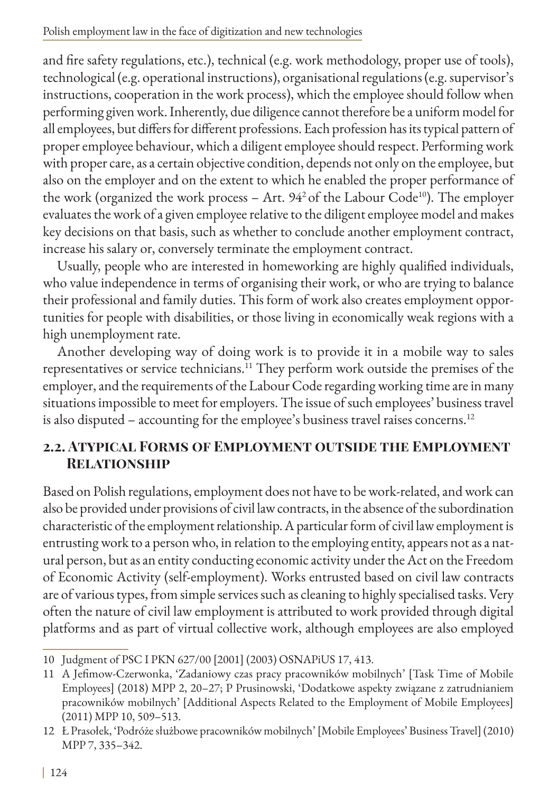and fire safety regulations, etc.), technical (e.g. work methodology, proper use of tools), technological (e.g. operational instructions), organisational regulations (e.g. supervisor's instructions, cooperation in the work process), which the employee should follow when performing given work. Inherently, due diligence cannot therefore be a uniform model for all employees, but differs for different professions. Each profession has its typical pattern of proper employee behaviour, which a diligent employee should respect. Performing work with proper care, as a certain objective condition, depends not only on the employee, but also on the employer and on the extent to which he enabled the proper performance of the work (organized the work process – Art.  $94^2$  of the Labour Code<sup>10</sup>). The employer evaluates the work of a given employee relative to the diligent employee model and makes key decisions on that basis, such as whether to conclude another employment contract, increase his salary or, conversely terminate the employment contract.

Usually, people who are interested in homeworking are highly qualified individuals, who value independence in terms of organising their work, or who are trying to balance their professional and family duties. This form of work also creates employment opportunities for people with disabilities, or those living in economically weak regions with a high unemployment rate.

Another developing way of doing work is to provide it in a mobile way to sales representatives or service technicians.<sup>11</sup> They perform work outside the premises of the employer, and the requirements of the Labour Code regarding working time are in many situations impossible to meet for employers. The issue of such employees' business travel is also disputed - accounting for the employee's business travel raises concerns.<sup>12</sup>

## **2.2. Atypical Forms of Employment outside the Employment Relationship**

Based on Polish regulations, employment does not have to be work-related, and work can also be provided under provisions of civil law contracts, in the absence of the subordination characteristic of the employment relationship. A particular form of civil law employment is entrusting work to a person who, in relation to the employing entity, appears not as a natural person, but as an entity conducting economic activity under the Act on the Freedom of Economic Activity (self-employment). Works entrusted based on civil law contracts are of various types, from simple services such as cleaning to highly specialised tasks. Very often the nature of civil law employment is attributed to work provided through digital platforms and as part of virtual collective work, although employees are also employed

<sup>10</sup> Judgment of PSC I PKN 627/00 [2001] (2003) OSNAPiUS 17, 413.

<sup>11</sup> A Jefimow-Czerwonka, 'Zadaniowy czas pracy pracowników mobilnych' [Task Time of Mobile Employees] (2018) MPP 2, 20–27; P Prusinowski, 'Dodatkowe aspekty związane z zatrudnianiem pracowników mobilnych' [Additional Aspects Related to the Employment of Mobile Employees] (2011) MPP 10, 509–513.

<sup>12</sup> Ł Prasołek, 'Podróże służbowe pracowników mobilnych' [Mobile Employees' Business Travel] (2010) MPP 7, 335–342.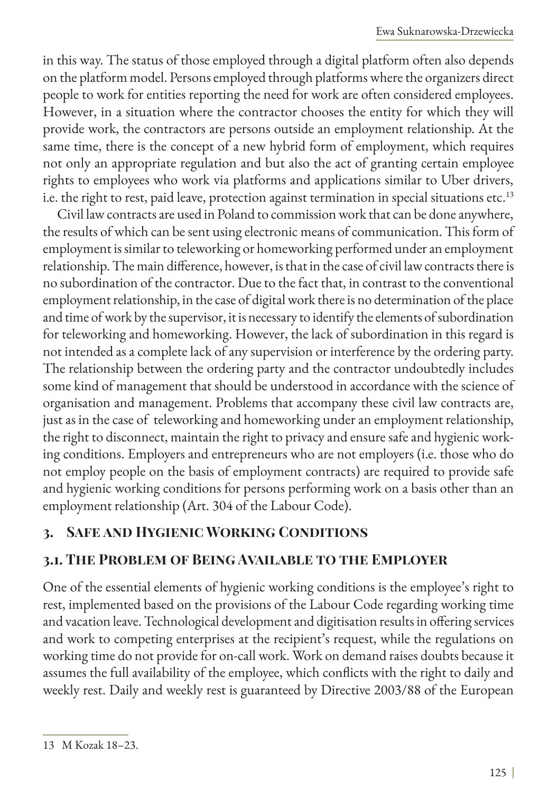in this way. The status of those employed through a digital platform often also depends on the platform model. Persons employed through platforms where the organizers direct people to work for entities reporting the need for work are often considered employees. However, in a situation where the contractor chooses the entity for which they will provide work, the contractors are persons outside an employment relationship. At the same time, there is the concept of a new hybrid form of employment, which requires not only an appropriate regulation and but also the act of granting certain employee rights to employees who work via platforms and applications similar to Uber drivers, i.e. the right to rest, paid leave, protection against termination in special situations etc.<sup>13</sup>

Civil law contracts are used in Poland to commission work that can be done anywhere, the results of which can be sent using electronic means of communication. This form of employment is similar to teleworking or homeworking performed under an employment relationship. The main difference, however, is that in the case of civil law contracts there is no subordination of the contractor. Due to the fact that, in contrast to the conventional employment relationship, in the case of digital work there is no determination of the place and time of work by the supervisor, it is necessary to identify the elements of subordination for teleworking and homeworking. However, the lack of subordination in this regard is not intended as a complete lack of any supervision or interference by the ordering party. The relationship between the ordering party and the contractor undoubtedly includes some kind of management that should be understood in accordance with the science of organisation and management. Problems that accompany these civil law contracts are, just as in the case of teleworking and homeworking under an employment relationship, the right to disconnect, maintain the right to privacy and ensure safe and hygienic working conditions. Employers and entrepreneurs who are not employers (i.e. those who do not employ people on the basis of employment contracts) are required to provide safe and hygienic working conditions for persons performing work on a basis other than an employment relationship (Art. 304 of the Labour Code).

## **3. Safe and Hygienic Working Conditions**

### **3.1. The Problem of Being Available to the Employer**

One of the essential elements of hygienic working conditions is the employee's right to rest, implemented based on the provisions of the Labour Code regarding working time and vacation leave. Technological development and digitisation results in offering services and work to competing enterprises at the recipient's request, while the regulations on working time do not provide for on-call work. Work on demand raises doubts because it assumes the full availability of the employee, which conflicts with the right to daily and weekly rest. Daily and weekly rest is guaranteed by Directive 2003/88 of the European

<sup>13</sup> M Kozak 18–23.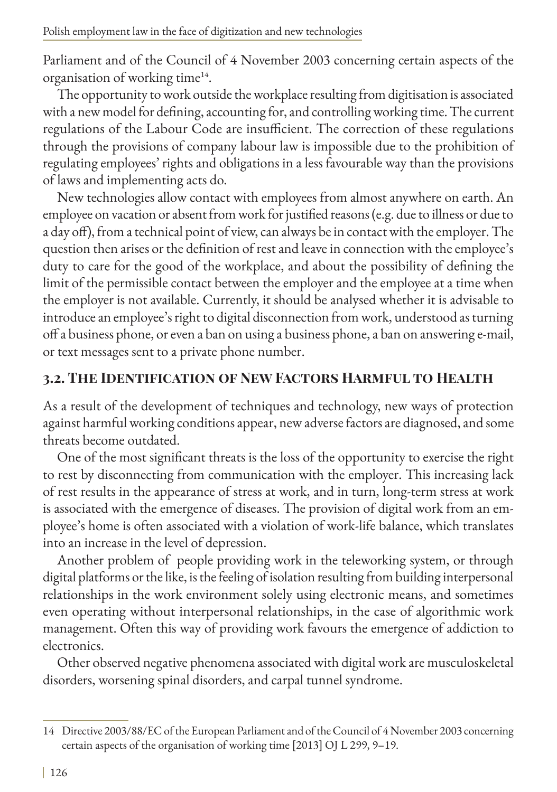Parliament and of the Council of 4 November 2003 concerning certain aspects of the organisation of working time<sup>14</sup>.

The opportunity to work outside the workplace resulting from digitisation is associated with a new model for defining, accounting for, and controlling working time. The current regulations of the Labour Code are insufficient. The correction of these regulations through the provisions of company labour law is impossible due to the prohibition of regulating employees' rights and obligations in a less favourable way than the provisions of laws and implementing acts do.

New technologies allow contact with employees from almost anywhere on earth. An employee on vacation or absent from work for justified reasons (e.g. due to illness or due to a day off), from a technical point of view, can always be in contact with the employer. The question then arises or the definition of rest and leave in connection with the employee's duty to care for the good of the workplace, and about the possibility of defining the limit of the permissible contact between the employer and the employee at a time when the employer is not available. Currently, it should be analysed whether it is advisable to introduce an employee's right to digital disconnection from work, understood as turning off a business phone, or even a ban on using a business phone, a ban on answering e-mail, or text messages sent to a private phone number.

## **3.2. The Identification of New Factors Harmful to Health**

As a result of the development of techniques and technology, new ways of protection against harmful working conditions appear, new adverse factors are diagnosed, and some threats become outdated.

One of the most significant threats is the loss of the opportunity to exercise the right to rest by disconnecting from communication with the employer. This increasing lack of rest results in the appearance of stress at work, and in turn, long-term stress at work is associated with the emergence of diseases. The provision of digital work from an employee's home is often associated with a violation of work-life balance, which translates into an increase in the level of depression.

Another problem of people providing work in the teleworking system, or through digital platforms or the like, is the feeling of isolation resulting from building interpersonal relationships in the work environment solely using electronic means, and sometimes even operating without interpersonal relationships, in the case of algorithmic work management. Often this way of providing work favours the emergence of addiction to electronics.

Other observed negative phenomena associated with digital work are musculoskeletal disorders, worsening spinal disorders, and carpal tunnel syndrome.

<sup>14</sup> Directive 2003/88/EC of the European Parliament and of the Council of 4 November 2003 concerning certain aspects of the organisation of working time [2013] OJ L 299, 9–19.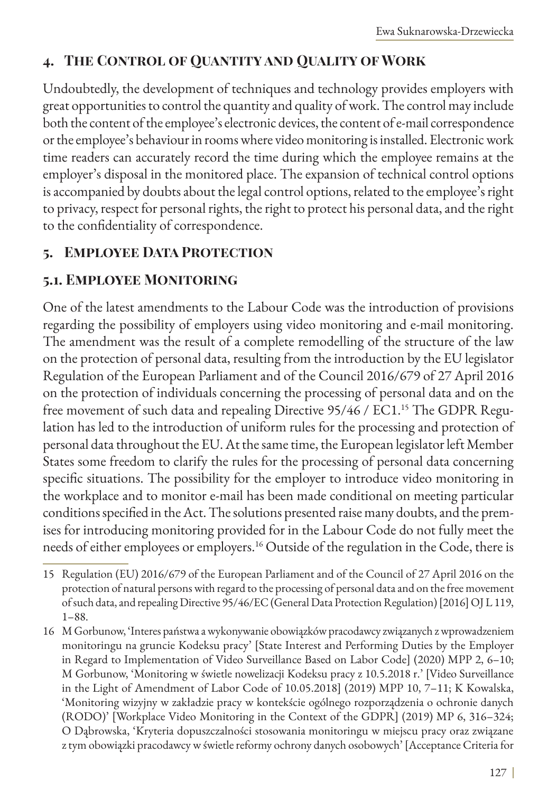## **4. The Control of Quantity and Quality of Work**

Undoubtedly, the development of techniques and technology provides employers with great opportunities to control the quantity and quality of work. The control may include both the content of the employee's electronic devices, the content of e-mail correspondence or the employee's behaviour in rooms where video monitoring is installed. Electronic work time readers can accurately record the time during which the employee remains at the employer's disposal in the monitored place. The expansion of technical control options is accompanied by doubts about the legal control options, related to the employee's right to privacy, respect for personal rights, the right to protect his personal data, and the right to the confidentiality of correspondence.

## **5. Employee Data Protection**

### **5.1. Employee Monitoring**

One of the latest amendments to the Labour Code was the introduction of provisions regarding the possibility of employers using video monitoring and e-mail monitoring. The amendment was the result of a complete remodelling of the structure of the law on the protection of personal data, resulting from the introduction by the EU legislator Regulation of the European Parliament and of the Council 2016/679 of 27 April 2016 on the protection of individuals concerning the processing of personal data and on the free movement of such data and repealing Directive 95/46 / EC1.<sup>15</sup> The GDPR Regulation has led to the introduction of uniform rules for the processing and protection of personal data throughout the EU. At the same time, the European legislator left Member States some freedom to clarify the rules for the processing of personal data concerning specific situations. The possibility for the employer to introduce video monitoring in the workplace and to monitor e-mail has been made conditional on meeting particular conditions specified in the Act. The solutions presented raise many doubts, and the premises for introducing monitoring provided for in the Labour Code do not fully meet the needs of either employees or employers.<sup>16</sup> Outside of the regulation in the Code, there is

<sup>15</sup> Regulation (EU) 2016/679 of the European Parliament and of the Council of 27 April 2016 on the protection of natural persons with regard to the processing of personal data and on the free movement of such data, and repealing Directive 95/46/EC (General Data Protection Regulation) [2016] OJ L 119, 1–88.

<sup>16</sup> M Gorbunow, 'Interes państwa a wykonywanie obowiązków pracodawcy związanych z wprowadzeniem monitoringu na gruncie Kodeksu pracy' [State Interest and Performing Duties by the Employer in Regard to Implementation of Video Surveillance Based on Labor Code] (2020) MPP 2, 6–10; M Gorbunow, 'Monitoring w świetle nowelizacji Kodeksu pracy z 10.5.2018 r.' [Video Surveillance in the Light of Amendment of Labor Code of 10.05.2018] (2019) MPP 10, 7–11; K Kowalska, 'Monitoring wizyjny w zakładzie pracy w kontekście ogólnego rozporządzenia o ochronie danych (RODO)' [Workplace Video Monitoring in the Context of the GDPR] (2019) MP 6, 316–324; O Dąbrowska, 'Kryteria dopuszczalności stosowania monitoringu w miejscu pracy oraz związane z tym obowiązki pracodawcy w świetle reformy ochrony danych osobowych' [Acceptance Criteria for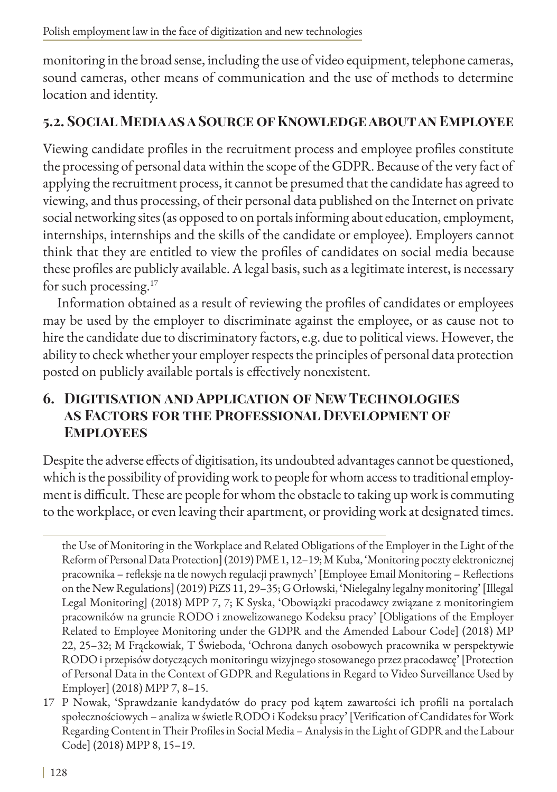monitoring in the broad sense, including the use of video equipment, telephone cameras, sound cameras, other means of communication and the use of methods to determine location and identity.

## **5.2. Social Media as a Source of Knowledge about an Employee**

Viewing candidate profiles in the recruitment process and employee profiles constitute the processing of personal data within the scope of the GDPR. Because of the very fact of applying the recruitment process, it cannot be presumed that the candidate has agreed to viewing, and thus processing, of their personal data published on the Internet on private social networking sites (as opposed to on portals informing about education, employment, internships, internships and the skills of the candidate or employee). Employers cannot think that they are entitled to view the profiles of candidates on social media because these profiles are publicly available. A legal basis, such as a legitimate interest, is necessary for such processing.17

Information obtained as a result of reviewing the profiles of candidates or employees may be used by the employer to discriminate against the employee, or as cause not to hire the candidate due to discriminatory factors, e.g. due to political views. However, the ability to check whether your employer respects the principles of personal data protection posted on publicly available portals is effectively nonexistent.

## **6. Digitisation and Application of New Technologies as Factors for the Professional Development of Employees**

Despite the adverse effects of digitisation, its undoubted advantages cannot be questioned, which is the possibility of providing work to people for whom access to traditional employment is difficult. These are people for whom the obstacle to taking up work is commuting to the workplace, or even leaving their apartment, or providing work at designated times.

the Use of Monitoring in the Workplace and Related Obligations of the Employer in the Light of the Reform of Personal Data Protection] (2019) PME 1, 12–19; M Kuba, 'Monitoring poczty elektronicznej pracownika – refleksje na tle nowych regulacji prawnych' [Employee Email Monitoring – Reflections on the New Regulations] (2019) PiZS 11, 29–35; G Orłowski, 'Nielegalny legalny monitoring' [Illegal Legal Monitoring] (2018) MPP 7, 7; K Syska, 'Obowiązki pracodawcy związane z monitoringiem pracowników na gruncie RODO i znowelizowanego Kodeksu pracy' [Obligations of the Employer Related to Employee Monitoring under the GDPR and the Amended Labour Code] (2018) MP 22, 25–32; M Frąckowiak, T Świeboda, 'Ochrona danych osobowych pracownika w perspektywie RODO i przepisów dotyczących monitoringu wizyjnego stosowanego przez pracodawcę' [Protection of Personal Data in the Context of GDPR and Regulations in Regard to Video Surveillance Used by Employer] (2018) MPP 7, 8–15.

<sup>17</sup> P Nowak, 'Sprawdzanie kandydatów do pracy pod kątem zawartości ich profili na portalach społecznościowych – analiza w świetle RODO i Kodeksu pracy' [Verification of Candidates for Work Regarding Content in Their Profiles in Social Media – Analysis in the Light of GDPR and the Labour Code] (2018) MPP 8, 15–19.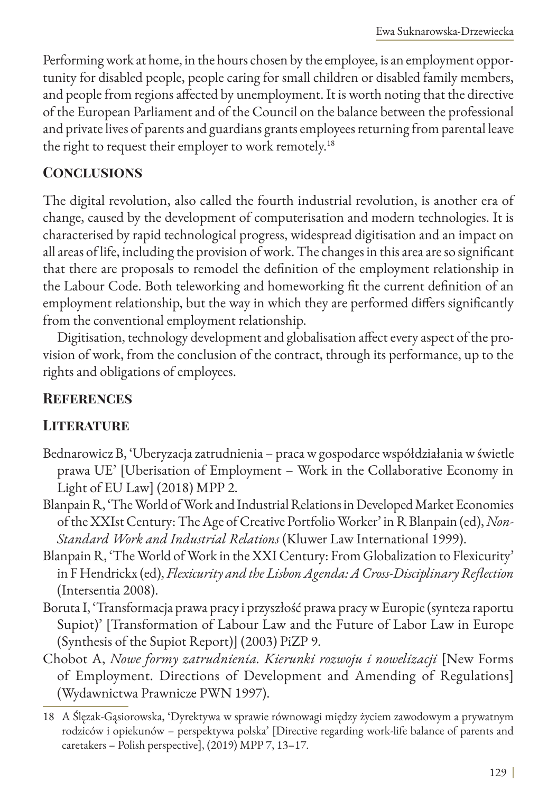Performing work at home, in the hours chosen by the employee, is an employment opportunity for disabled people, people caring for small children or disabled family members, and people from regions affected by unemployment. It is worth noting that the directive of the European Parliament and of the Council on the balance between the professional and private lives of parents and guardians grants employees returning from parental leave the right to request their employer to work remotely.<sup>18</sup>

#### **Conclusions**

The digital revolution, also called the fourth industrial revolution, is another era of change, caused by the development of computerisation and modern technologies. It is characterised by rapid technological progress, widespread digitisation and an impact on all areas of life, including the provision of work. The changes in this area are so significant that there are proposals to remodel the definition of the employment relationship in the Labour Code. Both teleworking and homeworking fit the current definition of an employment relationship, but the way in which they are performed differs significantly from the conventional employment relationship.

Digitisation, technology development and globalisation affect every aspect of the provision of work, from the conclusion of the contract, through its performance, up to the rights and obligations of employees.

### **References**

### **LITERATURE**

- Bednarowicz B, 'Uberyzacja zatrudnienia praca w gospodarce współdziałania w świetle prawa UE' [Uberisation of Employment – Work in the Collaborative Economy in Light of EU Law] (2018) MPP 2.
- Blanpain R, 'The World of Work and Industrial Relations in Developed Market Economies of the XXIst Century: The Age of Creative Portfolio Worker' in R Blanpain (ed), *Non-Standard Work and Industrial Relations* (Kluwer Law International 1999).
- Blanpain R, 'The World of Work in the XXI Century: From Globalization to Flexicurity' in F Hendrickx (ed), *Flexicurity and the Lisbon Agenda: A Cross-Disciplinary Reflection* (Intersentia 2008).
- Boruta I, 'Transformacja prawa pracy i przyszłość prawa pracy w Europie (synteza raportu Supiot)' [Transformation of Labour Law and the Future of Labor Law in Europe (Synthesis of the Supiot Report)] (2003) PiZP 9.
- Chobot A, *Nowe formy zatrudnienia. Kierunki rozwoju i nowelizacji* [New Forms of Employment. Directions of Development and Amending of Regulations] (Wydawnictwa Prawnicze PWN 1997).

<sup>18</sup> A Ślęzak-Gąsiorowska, 'Dyrektywa w sprawie równowagi między życiem zawodowym a prywatnym rodziców i opiekunów – perspektywa polska' [Directive regarding work-life balance of parents and caretakers – Polish perspective], (2019) MPP 7, 13–17.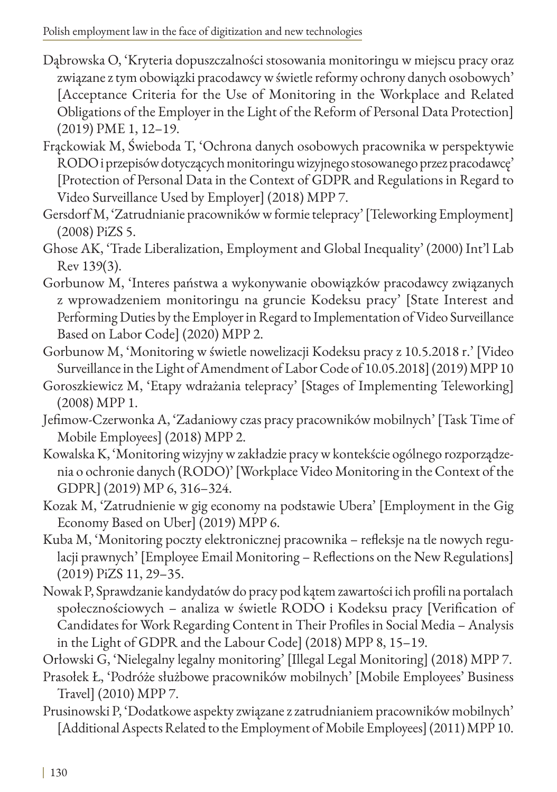Polish employment law in the face of digitization and new technologies

- Dąbrowska O, 'Kryteria dopuszczalności stosowania monitoringu w miejscu pracy oraz związane z tym obowiązki pracodawcy w świetle reformy ochrony danych osobowych' [Acceptance Criteria for the Use of Monitoring in the Workplace and Related Obligations of the Employer in the Light of the Reform of Personal Data Protection] (2019) PME 1, 12–19.
- Frąckowiak M, Świeboda T, 'Ochrona danych osobowych pracownika w perspektywie RODO i przepisów dotyczących monitoringu wizyjnego stosowanego przez pracodawcę' [Protection of Personal Data in the Context of GDPR and Regulations in Regard to Video Surveillance Used by Employer] (2018) MPP 7.
- Gersdorf M, 'Zatrudnianie pracowników w formie telepracy' [Teleworking Employment] (2008) PiZS 5.
- Ghose AK, 'Trade Liberalization, Employment and Global Inequality' (2000) Int'l Lab Rev 139(3).
- Gorbunow M, 'Interes państwa a wykonywanie obowiązków pracodawcy związanych z wprowadzeniem monitoringu na gruncie Kodeksu pracy' [State Interest and Performing Duties by the Employer in Regard to Implementation of Video Surveillance Based on Labor Code] (2020) MPP 2.
- Gorbunow M, 'Monitoring w świetle nowelizacji Kodeksu pracy z 10.5.2018 r.' [Video Surveillance in the Light of Amendment of Labor Code of 10.05.2018] (2019) MPP 10
- Goroszkiewicz M, 'Etapy wdrażania telepracy' [Stages of Implementing Teleworking] (2008) MPP 1.
- Jefimow-Czerwonka A, 'Zadaniowy czas pracy pracowników mobilnych' [Task Time of Mobile Employees] (2018) MPP 2.
- Kowalska K, 'Monitoring wizyjny w zakładzie pracy w kontekście ogólnego rozporządzenia o ochronie danych (RODO)' [Workplace Video Monitoring in the Context of the GDPR] (2019) MP 6, 316–324.
- Kozak M, 'Zatrudnienie w gig economy na podstawie Ubera' [Employment in the Gig Economy Based on Uber] (2019) MPP 6.
- Kuba M, 'Monitoring poczty elektronicznej pracownika refleksje na tle nowych regulacji prawnych' [Employee Email Monitoring – Reflections on the New Regulations] (2019) PiZS 11, 29–35.
- Nowak P, Sprawdzanie kandydatów do pracy pod kątem zawartości ich profili na portalach społecznościowych – analiza w świetle RODO i Kodeksu pracy [Verification of Candidates for Work Regarding Content in Their Profiles in Social Media – Analysis in the Light of GDPR and the Labour Code] (2018) MPP 8, 15–19.

Orłowski G, 'Nielegalny legalny monitoring' [Illegal Legal Monitoring] (2018) MPP 7.

- Prasołek Ł, 'Podróże służbowe pracowników mobilnych' [Mobile Employees' Business Travel] (2010) MPP 7.
- Prusinowski P, 'Dodatkowe aspekty związane z zatrudnianiem pracowników mobilnych' [Additional Aspects Related to the Employment of Mobile Employees] (2011) MPP 10.